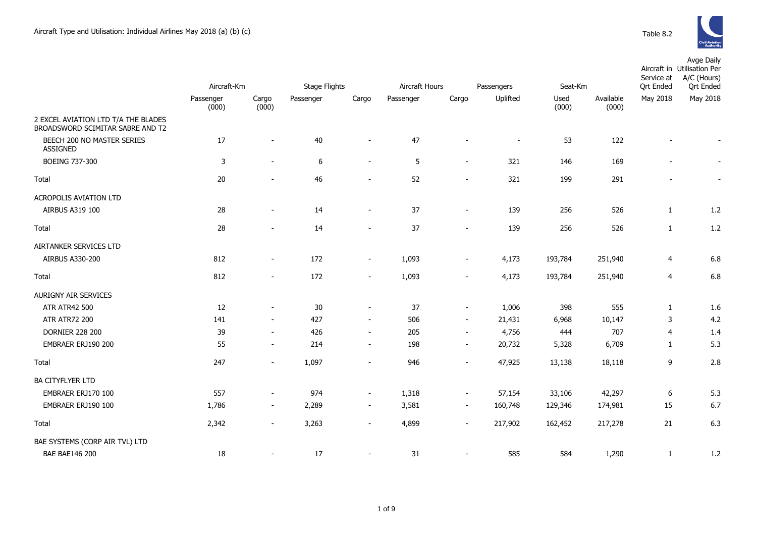

|                                                                         | Aircraft-Km        |                | <b>Stage Flights</b> |                          | Aircraft Hours<br>Passengers |                          |                | Seat-Km       |                    |                | Avge Daily<br>Aircraft in Utilisation Per<br>A/C (Hours)<br>Ort Ended |  |
|-------------------------------------------------------------------------|--------------------|----------------|----------------------|--------------------------|------------------------------|--------------------------|----------------|---------------|--------------------|----------------|-----------------------------------------------------------------------|--|
|                                                                         | Passenger<br>(000) | Cargo<br>(000) | Passenger            | Cargo                    | Passenger                    | Cargo                    | Uplifted       | Used<br>(000) | Available<br>(000) | May 2018       | May 2018                                                              |  |
| 2 EXCEL AVIATION LTD T/A THE BLADES<br>BROADSWORD SCIMITAR SABRE AND T2 |                    |                |                      |                          |                              |                          |                |               |                    |                |                                                                       |  |
| BEECH 200 NO MASTER SERIES<br><b>ASSIGNED</b>                           | 17                 | $\sim$         | 40                   | $\sim$                   | 47                           | $\overline{\phantom{0}}$ | $\blacksquare$ | 53            | 122                | $\blacksquare$ |                                                                       |  |
| <b>BOEING 737-300</b>                                                   | 3                  | $\sim$         | 6                    | $\sim$                   | 5                            | $\sim$                   | 321            | 146           | 169                | $\blacksquare$ |                                                                       |  |
| Total                                                                   | 20                 | $\sim$         | 46                   | $\sim$                   | 52                           | $\overline{\phantom{a}}$ | 321            | 199           | 291                | $\blacksquare$ | $\overline{\phantom{a}}$                                              |  |
| ACROPOLIS AVIATION LTD                                                  |                    |                |                      |                          |                              |                          |                |               |                    |                |                                                                       |  |
| AIRBUS A319 100                                                         | 28                 | $\sim$         | 14                   | $\sim$                   | 37                           | $\overline{\phantom{a}}$ | 139            | 256           | 526                | 1              | 1.2                                                                   |  |
| Total                                                                   | 28                 |                | 14                   | $\overline{\phantom{a}}$ | 37                           | $\overline{\phantom{a}}$ | 139            | 256           | 526                | 1              | 1.2                                                                   |  |
| AIRTANKER SERVICES LTD                                                  |                    |                |                      |                          |                              |                          |                |               |                    |                |                                                                       |  |
| AIRBUS A330-200                                                         | 812                | $\sim$         | 172                  | $\sim$                   | 1,093                        | $\overline{\phantom{a}}$ | 4,173          | 193,784       | 251,940            | 4              | 6.8                                                                   |  |
| Total                                                                   | 812                | $\sim$         | 172                  | $\sim$                   | 1,093                        | $\sim$                   | 4,173          | 193,784       | 251,940            | 4              | 6.8                                                                   |  |
| <b>AURIGNY AIR SERVICES</b>                                             |                    |                |                      |                          |                              |                          |                |               |                    |                |                                                                       |  |
| <b>ATR ATR42 500</b>                                                    | 12                 | $\sim$         | 30                   | $\sim$                   | 37                           | $\overline{\phantom{a}}$ | 1,006          | 398           | 555                | 1              | 1.6                                                                   |  |
| <b>ATR ATR72 200</b>                                                    | 141                | $\sim$         | 427                  | $\sim$                   | 506                          | $\sim$                   | 21,431         | 6,968         | 10,147             | 3              | 4.2                                                                   |  |
| <b>DORNIER 228 200</b>                                                  | 39                 | $\sim$         | 426                  | $\sim$                   | 205                          | $\sim$                   | 4,756          | 444           | 707                | 4              | 1.4                                                                   |  |
| EMBRAER ERJ190 200                                                      | 55                 | $\sim$         | 214                  | $\sim$                   | 198                          | $\sim$                   | 20,732         | 5,328         | 6,709              | 1              | 5.3                                                                   |  |
| Total                                                                   | 247                | $\sim$         | 1,097                | $\sim$                   | 946                          | $\blacksquare$           | 47,925         | 13,138        | 18,118             | 9              | 2.8                                                                   |  |

| DORNIER 228 200                | 39.   | $\overline{\phantom{0}}$ | 426   | $\overline{\phantom{0}}$ | 205   | $\overline{\phantom{a}}$ | 4,756   | 444     | 101     |    | 1.4 |
|--------------------------------|-------|--------------------------|-------|--------------------------|-------|--------------------------|---------|---------|---------|----|-----|
| EMBRAER ERJ190 200             | 55    | $\overline{\phantom{0}}$ | 214   | $\overline{\phantom{0}}$ | 198   | $\overline{\phantom{a}}$ | 20,732  | 5,328   | 6,709   |    | 5.3 |
| Total                          | 247   | $\overline{\phantom{0}}$ | 1,097 | $\sim$                   | 946   | $\overline{\phantom{a}}$ | 47,925  | 13,138  | 18,118  | 9  | 2.8 |
| <b>BA CITYFLYER LTD</b>        |       |                          |       |                          |       |                          |         |         |         |    |     |
| EMBRAER ERJ170 100             | 557   | $\overline{\phantom{0}}$ | 974   | $\overline{\phantom{0}}$ | 1,318 | $\overline{\phantom{0}}$ | 57,154  | 33,106  | 42,297  | 6  | 5.3 |
| EMBRAER ERJ190 100             | 1,786 | $\overline{\phantom{0}}$ | 2,289 | $\overline{\phantom{0}}$ | 3,581 | $\sim$                   | 160,748 | 129,346 | 174,981 | 15 | 6.7 |
| Total                          | 2,342 | $\overline{\phantom{0}}$ | 3,263 | $\sim$                   | 4,899 | $\sim$                   | 217,902 | 162,452 | 217,278 | 21 | 6.3 |
| BAE SYSTEMS (CORP AIR TVL) LTD |       |                          |       |                          |       |                          |         |         |         |    |     |
| <b>BAE BAE146 200</b>          | 18    | $\overline{\phantom{0}}$ | 17    | $\sim$                   | 31    | $\overline{\phantom{0}}$ | 585     | 584     | 1,290   |    | 1.2 |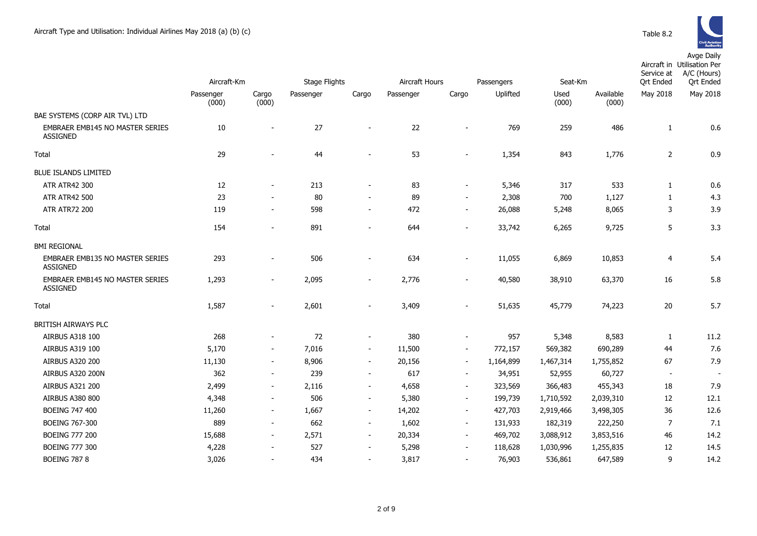Avge Daily

|                                                           | Aircraft-Km        |                          | Stage Flights |                          | Aircraft Hours |                          | Passengers |               | Seat-Km            |                              | Aircraft in Utilisation Per<br>A/C (Hours)<br><b>Qrt Ended</b> |
|-----------------------------------------------------------|--------------------|--------------------------|---------------|--------------------------|----------------|--------------------------|------------|---------------|--------------------|------------------------------|----------------------------------------------------------------|
|                                                           | Passenger<br>(000) | Cargo<br>(000)           | Passenger     | Cargo                    | Passenger      | Cargo                    | Uplifted   | Used<br>(000) | Available<br>(000) | <b>Qrt Ended</b><br>May 2018 | May 2018                                                       |
| BAE SYSTEMS (CORP AIR TVL) LTD                            |                    |                          |               |                          |                |                          |            |               |                    |                              |                                                                |
| EMBRAER EMB145 NO MASTER SERIES<br><b>ASSIGNED</b>        | 10                 |                          | 27            | $\overline{a}$           | 22             |                          | 769        | 259           | 486                | $\mathbf{1}$                 | 0.6                                                            |
| Total                                                     | 29                 |                          | 44            | $\overline{a}$           | 53             |                          | 1,354      | 843           | 1,776              | $\overline{2}$               | 0.9                                                            |
| <b>BLUE ISLANDS LIMITED</b>                               |                    |                          |               |                          |                |                          |            |               |                    |                              |                                                                |
| <b>ATR ATR42 300</b>                                      | 12                 | $\blacksquare$           | 213           | $\overline{\phantom{a}}$ | 83             | $\blacksquare$           | 5,346      | 317           | 533                | 1                            | 0.6                                                            |
| <b>ATR ATR42 500</b>                                      | 23                 |                          | 80            | $\overline{a}$           | 89             | $\qquad \qquad$          | 2,308      | 700           | 1,127              | $\mathbf{1}$                 | 4.3                                                            |
| <b>ATR ATR72 200</b>                                      | 119                | $\overline{\phantom{a}}$ | 598           | $\overline{\phantom{a}}$ | 472            | -                        | 26,088     | 5,248         | 8,065              | 3                            | 3.9                                                            |
| Total                                                     | 154                | $\overline{\phantom{0}}$ | 891           | $\overline{\phantom{a}}$ | 644            | $\frac{1}{2}$            | 33,742     | 6,265         | 9,725              | 5                            | 3.3                                                            |
| <b>BMI REGIONAL</b>                                       |                    |                          |               |                          |                |                          |            |               |                    |                              |                                                                |
| <b>EMBRAER EMB135 NO MASTER SERIES</b><br>ASSIGNED        | 293                | $\overline{\phantom{a}}$ | 506           | $\overline{\phantom{a}}$ | 634            | $\overline{\phantom{a}}$ | 11,055     | 6,869         | 10,853             | 4                            | 5.4                                                            |
| <b>EMBRAER EMB145 NO MASTER SERIES</b><br><b>ASSIGNED</b> | 1,293              | $\overline{\phantom{a}}$ | 2,095         | $\overline{\phantom{a}}$ | 2,776          | $\overline{\phantom{0}}$ | 40,580     | 38,910        | 63,370             | 16                           | 5.8                                                            |
| Total                                                     | 1,587              | $\overline{\phantom{a}}$ | 2,601         | $\overline{\phantom{a}}$ | 3,409          |                          | 51,635     | 45,779        | 74,223             | 20                           | 5.7                                                            |
| BRITISH AIRWAYS PLC                                       |                    |                          |               |                          |                |                          |            |               |                    |                              |                                                                |
| <b>AIRBUS A318 100</b>                                    | 268                | $\overline{\phantom{a}}$ | 72            | $\overline{\phantom{a}}$ | 380            | $\overline{\phantom{0}}$ | 957        | 5,348         | 8,583              | 1                            | 11.2                                                           |
| AIRBUS A319 100                                           | 5,170              | $\overline{\phantom{a}}$ | 7,016         | $\overline{\phantom{a}}$ | 11,500         | $\overline{\phantom{a}}$ | 772,157    | 569,382       | 690,289            | 44                           | 7.6                                                            |
| <b>AIRBUS A320 200</b>                                    | 11,130             | $\overline{\phantom{a}}$ | 8,906         | $\blacksquare$           | 20,156         | $\overline{\phantom{a}}$ | 1,164,899  | 1,467,314     | 1,755,852          | 67                           | 7.9                                                            |
| AIRBUS A320 200N                                          | 362                | $\overline{\phantom{a}}$ | 239           | $\sim$                   | 617            | $\overline{\phantom{a}}$ | 34,951     | 52,955        | 60,727             | $\overline{\phantom{a}}$     |                                                                |
| <b>AIRBUS A321 200</b>                                    | 2,499              | $\overline{\phantom{a}}$ | 2,116         | $\sim$                   | 4,658          | $\overline{\phantom{a}}$ | 323,569    | 366,483       | 455,343            | 18                           | 7.9                                                            |
| <b>AIRBUS A380 800</b>                                    | 4,348              | $\overline{\phantom{a}}$ | 506           | $\overline{\phantom{a}}$ | 5,380          | $\overline{\phantom{a}}$ | 199,739    | 1,710,592     | 2,039,310          | 12                           | 12.1                                                           |
| BOEING 747 400                                            | 11,260             | $\overline{\phantom{a}}$ | 1,667         | $\sim$                   | 14,202         | $\blacksquare$           | 427,703    | 2,919,466     | 3,498,305          | 36                           | 12.6                                                           |
| BOEING 767-300                                            | 889                | $\overline{\phantom{a}}$ | 662           | $\sim$                   | 1,602          | $\blacksquare$           | 131,933    | 182,319       | 222,250            | $\overline{7}$               | 7.1                                                            |
| <b>BOEING 777 200</b>                                     | 15,688             | $\overline{\phantom{a}}$ | 2,571         | $\overline{\phantom{a}}$ | 20,334         | $\overline{\phantom{a}}$ | 469,702    | 3,088,912     | 3,853,516          | 46                           | 14.2                                                           |
| <b>BOEING 777 300</b>                                     | 4,228              | $\overline{\phantom{a}}$ | 527           | $\overline{\phantom{a}}$ | 5,298          | $\overline{\phantom{a}}$ | 118,628    | 1,030,996     | 1,255,835          | 12                           | 14.5                                                           |
| <b>BOEING 787 8</b>                                       | 3,026              | $\overline{\phantom{a}}$ | 434           | $\overline{\phantom{a}}$ | 3,817          | $\frac{1}{2}$            | 76,903     | 536,861       | 647,589            | 9                            | 14.2                                                           |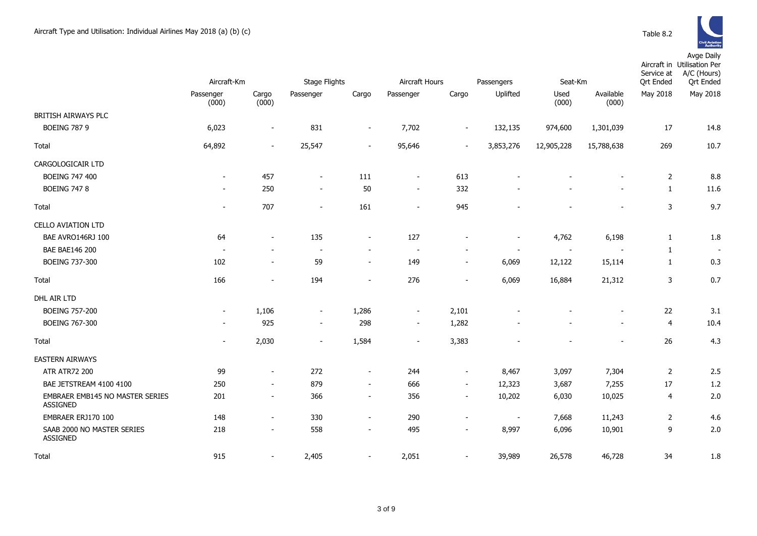

|                                                    | Aircraft-Km              |                          | <b>Stage Flights</b>     |                          | Aircraft Hours           |                          | Seat-Km<br>Passengers    |                |                          | Service at<br><b>Ort Ended</b> | Aircraft in Utilisation Per<br>A/C (Hours)<br><b>Qrt Ended</b> |  |
|----------------------------------------------------|--------------------------|--------------------------|--------------------------|--------------------------|--------------------------|--------------------------|--------------------------|----------------|--------------------------|--------------------------------|----------------------------------------------------------------|--|
|                                                    | Passenger                | Cargo                    | Passenger                | Cargo                    | Passenger                | Cargo                    | Uplifted                 | Used           | Available                | May 2018                       | May 2018                                                       |  |
|                                                    | (000)                    | (000)                    |                          |                          |                          |                          |                          | (000)          | (000)                    |                                |                                                                |  |
| BRITISH AIRWAYS PLC                                |                          |                          |                          |                          |                          |                          |                          |                |                          |                                |                                                                |  |
| <b>BOEING 787 9</b>                                | 6,023                    | $\blacksquare$           | 831                      | $\overline{\phantom{a}}$ | 7,702                    | $\overline{\phantom{a}}$ | 132,135                  | 974,600        | 1,301,039                | 17                             | 14.8                                                           |  |
| Total                                              | 64,892                   | $\sim$                   | 25,547                   | $\overline{\phantom{a}}$ | 95,646                   | $\overline{\phantom{a}}$ | 3,853,276                | 12,905,228     | 15,788,638               | 269                            | 10.7                                                           |  |
| CARGOLOGICAIR LTD                                  |                          |                          |                          |                          |                          |                          |                          |                |                          |                                |                                                                |  |
| <b>BOEING 747 400</b>                              | $\overline{\phantom{a}}$ | 457                      | $\sim$                   | 111                      | $\sim$                   | 613                      |                          |                |                          | 2                              | 8.8                                                            |  |
| <b>BOEING 747 8</b>                                | $\overline{\phantom{a}}$ | 250                      | $\overline{\phantom{a}}$ | 50                       | $\sim$                   | 332                      |                          |                |                          | $\mathbf{1}$                   | 11.6                                                           |  |
| Total                                              | $\sim$                   | 707                      | $\sim$                   | 161                      | $\sim$                   | 945                      |                          |                |                          | 3                              | 9.7                                                            |  |
| <b>CELLO AVIATION LTD</b>                          |                          |                          |                          |                          |                          |                          |                          |                |                          |                                |                                                                |  |
| BAE AVRO146RJ 100                                  | 64                       | $\blacksquare$           | 135                      | $\sim$                   | 127                      |                          | $\overline{\phantom{a}}$ | 4,762          | 6,198                    | $\mathbf{1}$                   | 1.8                                                            |  |
| <b>BAE BAE146 200</b>                              | $\overline{a}$           | $\overline{\phantom{a}}$ | $\sim$                   | $\sim$                   | $\overline{\phantom{a}}$ |                          | $\overline{\phantom{a}}$ | $\overline{a}$ |                          | $\mathbf{1}$                   | $\sim$                                                         |  |
| BOEING 737-300                                     | 102                      | $\overline{\phantom{a}}$ | 59                       | $\sim$                   | 149                      | $\blacksquare$           | 6,069                    | 12,122         | 15,114                   | $\mathbf{1}$                   | 0.3                                                            |  |
| Total                                              | 166                      | $\overline{\phantom{a}}$ | 194                      | $\overline{\phantom{a}}$ | 276                      | $\sim$                   | 6,069                    | 16,884         | 21,312                   | 3                              | 0.7                                                            |  |
| DHL AIR LTD                                        |                          |                          |                          |                          |                          |                          |                          |                |                          |                                |                                                                |  |
| <b>BOEING 757-200</b>                              | $\sim$                   | 1,106                    | $\sim$                   | 1,286                    | $\sim$                   | 2,101                    |                          |                |                          | 22                             | 3.1                                                            |  |
| BOEING 767-300                                     | $\overline{\phantom{a}}$ | 925                      | $\sim$                   | 298                      | $\sim$                   | 1,282                    |                          |                | $\overline{\phantom{0}}$ | $\overline{4}$                 | 10.4                                                           |  |
| Total                                              |                          | 2,030                    | $\blacksquare$           | 1,584                    | $\sim$                   | 3,383                    |                          |                | $\blacksquare$           | 26                             | 4.3                                                            |  |
| <b>EASTERN AIRWAYS</b>                             |                          |                          |                          |                          |                          |                          |                          |                |                          |                                |                                                                |  |
| <b>ATR ATR72 200</b>                               | 99                       | $\overline{\phantom{a}}$ | 272                      | $\sim$                   | 244                      | $\sim$                   | 8,467                    | 3,097          | 7,304                    | 2                              | 2.5                                                            |  |
| BAE JETSTREAM 4100 4100                            | 250                      | $\overline{\phantom{a}}$ | 879                      | $\sim$                   | 666                      | $\sim$                   | 12,323                   | 3,687          | 7,255                    | 17                             | 1.2                                                            |  |
| EMBRAER EMB145 NO MASTER SERIES<br><b>ASSIGNED</b> | 201                      | $\overline{\phantom{a}}$ | 366                      | $\sim$                   | 356                      |                          | 10,202                   | 6,030          | 10,025                   | 4                              | 2.0                                                            |  |
| EMBRAER ERJ170 100                                 | 148                      | $\overline{\phantom{a}}$ | 330                      | $\sim$                   | 290                      | $\overline{\phantom{a}}$ | $\overline{\phantom{a}}$ | 7,668          | 11,243                   | $\overline{2}$                 | 4.6                                                            |  |
| SAAB 2000 NO MASTER SERIES<br><b>ASSIGNED</b>      | 218                      | $\overline{\phantom{a}}$ | 558                      | $\sim$                   | 495                      | $\overline{\phantom{a}}$ | 8,997                    | 6,096          | 10,901                   | 9                              | 2.0                                                            |  |
| Total                                              | 915                      | $\overline{\phantom{a}}$ | 2,405                    |                          | 2,051                    |                          | 39,989                   | 26,578         | 46,728                   | 34                             | 1.8                                                            |  |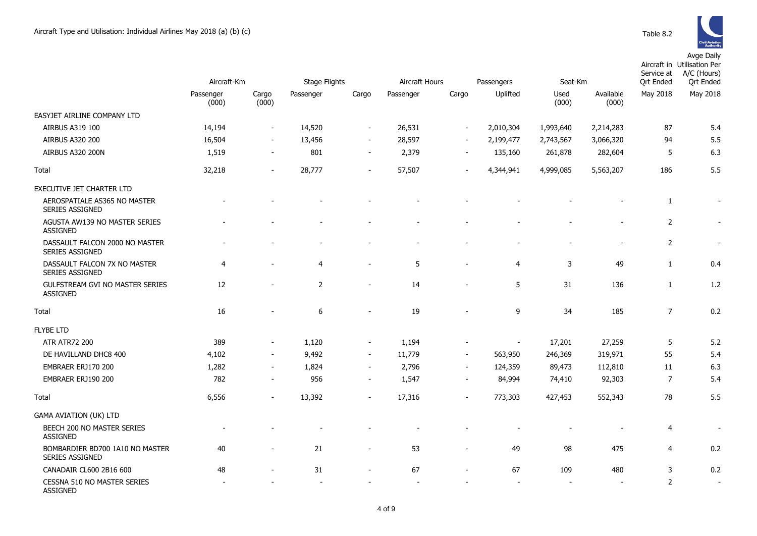Avge Daily

|                                                           | Aircraft-Km        |                          | <b>Stage Flights</b> |                          | Aircraft Hours |                          | Passengers     | Seat-Km       |                    | Service at<br>Ort Ended | Aircraft in Utilisation Per<br>A/C (Hours)<br><b>Qrt Ended</b> |
|-----------------------------------------------------------|--------------------|--------------------------|----------------------|--------------------------|----------------|--------------------------|----------------|---------------|--------------------|-------------------------|----------------------------------------------------------------|
|                                                           | Passenger<br>(000) | Cargo<br>(000)           | Passenger            | Cargo                    | Passenger      | Cargo                    | Uplifted       | Used<br>(000) | Available<br>(000) | May 2018                | May 2018                                                       |
| EASYJET AIRLINE COMPANY LTD                               |                    |                          |                      |                          |                |                          |                |               |                    |                         |                                                                |
| AIRBUS A319 100                                           | 14,194             | $\overline{\phantom{a}}$ | 14,520               | $\overline{\phantom{a}}$ | 26,531         | $\overline{\phantom{a}}$ | 2,010,304      | 1,993,640     | 2,214,283          | 87                      | 5.4                                                            |
| AIRBUS A320 200                                           | 16,504             | $\overline{\phantom{a}}$ | 13,456               | $\overline{\phantom{a}}$ | 28,597         | $\overline{\phantom{a}}$ | 2,199,477      | 2,743,567     | 3,066,320          | 94                      | 5.5                                                            |
| AIRBUS A320 200N                                          | 1,519              | $\sim$                   | 801                  | $\overline{\phantom{a}}$ | 2,379          | $\blacksquare$           | 135,160        | 261,878       | 282,604            | 5                       | 6.3                                                            |
| Total                                                     | 32,218             | $\blacksquare$           | 28,777               | $\blacksquare$           | 57,507         | $\overline{\phantom{a}}$ | 4,344,941      | 4,999,085     | 5,563,207          | 186                     | 5.5                                                            |
| EXECUTIVE JET CHARTER LTD                                 |                    |                          |                      |                          |                |                          |                |               |                    |                         |                                                                |
| AEROSPATIALE AS365 NO MASTER<br><b>SERIES ASSIGNED</b>    |                    |                          |                      |                          |                |                          |                |               |                    | $\mathbf{1}$            |                                                                |
| AGUSTA AW139 NO MASTER SERIES<br><b>ASSIGNED</b>          |                    |                          |                      |                          |                |                          |                |               |                    | $\overline{2}$          |                                                                |
| DASSAULT FALCON 2000 NO MASTER<br><b>SERIES ASSIGNED</b>  |                    |                          |                      |                          |                |                          |                |               |                    | $\overline{2}$          |                                                                |
| DASSAULT FALCON 7X NO MASTER<br>SERIES ASSIGNED           | $\overline{4}$     |                          | $\overline{4}$       | $\overline{a}$           | 5              |                          | $\overline{4}$ | 3             | 49                 | $\mathbf{1}$            | 0.4                                                            |
| <b>GULFSTREAM GVI NO MASTER SERIES</b><br><b>ASSIGNED</b> | 12                 | ۰                        | 2                    | $\overline{a}$           | 14             |                          | 5              | 31            | 136                | $\mathbf{1}$            | 1.2                                                            |
| Total                                                     | 16                 |                          | $\boldsymbol{6}$     |                          | 19             |                          | 9              | 34            | 185                | $\overline{7}$          | 0.2                                                            |
| <b>FLYBE LTD</b>                                          |                    |                          |                      |                          |                |                          |                |               |                    |                         |                                                                |
| <b>ATR ATR72 200</b>                                      | 389                | $\overline{\phantom{0}}$ | 1,120                | $\overline{\phantom{a}}$ | 1,194          |                          |                | 17,201        | 27,259             | 5                       | 5.2                                                            |
| DE HAVILLAND DHC8 400                                     | 4,102              | $\overline{\phantom{0}}$ | 9,492                | $\overline{\phantom{a}}$ | 11,779         | $\overline{\phantom{a}}$ | 563,950        | 246,369       | 319,971            | 55                      | 5.4                                                            |
| EMBRAER ERJ170 200                                        | 1,282              | $\overline{\phantom{a}}$ | 1,824                | $\overline{\phantom{a}}$ | 2,796          | $\sim$                   | 124,359        | 89,473        | 112,810            | 11                      | 6.3                                                            |
| EMBRAER ERJ190 200                                        | 782                |                          | 956                  | $\blacksquare$           | 1,547          | $\blacksquare$           | 84,994         | 74,410        | 92,303             | $\overline{7}$          | 5.4                                                            |
| Total                                                     | 6,556              |                          | 13,392               | ÷.                       | 17,316         |                          | 773,303        | 427,453       | 552,343            | 78                      | 5.5                                                            |
| <b>GAMA AVIATION (UK) LTD</b>                             |                    |                          |                      |                          |                |                          |                |               |                    |                         |                                                                |
| BEECH 200 NO MASTER SERIES<br><b>ASSIGNED</b>             |                    |                          |                      |                          |                |                          |                |               |                    | $\overline{4}$          |                                                                |
| BOMBARDIER BD700 1A10 NO MASTER<br>SERIES ASSIGNED        | 40                 |                          | 21                   |                          | 53             |                          | 49             | 98            | 475                | 4                       | 0.2                                                            |
| CANADAIR CL600 2B16 600                                   | 48                 |                          | 31                   |                          | 67             |                          | 67             | 109           | 480                | 3                       | 0.2                                                            |
| <b>CESSNA 510 NO MASTER SERIES</b><br><b>ASSIGNED</b>     |                    |                          |                      |                          |                |                          |                |               |                    | $\overline{2}$          | $\overline{\phantom{a}}$                                       |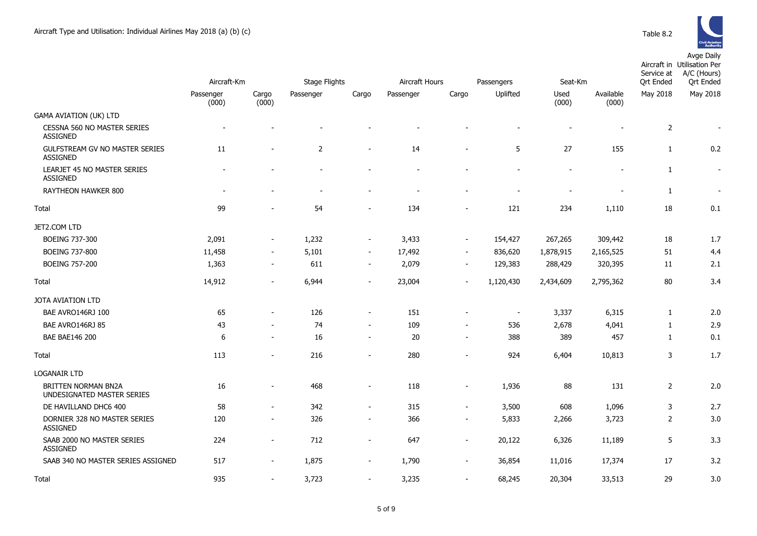

|                                                   | Aircraft-Km        |                          | Stage Flights            |                          | Aircraft Hours<br>Passengers |                          |                          | Seat-Km       |                    | Service at<br><b>Qrt Ended</b> | Aircraft in Utilisation Per<br>A/C (Hours)<br><b>Qrt Ended</b> |
|---------------------------------------------------|--------------------|--------------------------|--------------------------|--------------------------|------------------------------|--------------------------|--------------------------|---------------|--------------------|--------------------------------|----------------------------------------------------------------|
|                                                   | Passenger<br>(000) | Cargo<br>(000)           | Passenger                | Cargo                    | Passenger                    | Cargo                    | Uplifted                 | Used<br>(000) | Available<br>(000) | May 2018                       | May 2018                                                       |
| <b>GAMA AVIATION (UK) LTD</b>                     |                    |                          |                          |                          |                              |                          |                          |               |                    |                                |                                                                |
| CESSNA 560 NO MASTER SERIES<br>ASSIGNED           |                    |                          |                          |                          |                              |                          |                          |               |                    | $\overline{2}$                 |                                                                |
| GULFSTREAM GV NO MASTER SERIES<br><b>ASSIGNED</b> | 11                 | $\blacksquare$           | $\overline{2}$           | $\blacksquare$           | 14                           | $\blacksquare$           | 5                        | 27            | 155                | $\mathbf{1}$                   | 0.2                                                            |
| LEARJET 45 NO MASTER SERIES<br><b>ASSIGNED</b>    |                    |                          | $\overline{a}$           |                          |                              |                          |                          |               |                    | 1                              | $\overline{\phantom{a}}$                                       |
| RAYTHEON HAWKER 800                               | $\overline{a}$     | $\overline{a}$           | $\overline{\phantom{a}}$ | $\overline{\phantom{a}}$ | $\blacksquare$               | $\blacksquare$           | $\overline{a}$           |               | $\overline{a}$     | 1                              | $\overline{\phantom{a}}$                                       |
| Total                                             | 99                 |                          | 54                       | $\overline{\phantom{a}}$ | 134                          | ٠                        | 121                      | 234           | 1,110              | 18                             | 0.1                                                            |
| JET2.COM LTD                                      |                    |                          |                          |                          |                              |                          |                          |               |                    |                                |                                                                |
| BOEING 737-300                                    | 2,091              | $\overline{\phantom{a}}$ | 1,232                    | $\overline{\phantom{a}}$ | 3,433                        | $\blacksquare$           | 154,427                  | 267,265       | 309,442            | 18                             | 1.7                                                            |
| BOEING 737-800                                    | 11,458             | $\overline{\phantom{a}}$ | 5,101                    | $\overline{\phantom{a}}$ | 17,492                       | $\blacksquare$           | 836,620                  | 1,878,915     | 2,165,525          | 51                             | 4.4                                                            |
| <b>BOEING 757-200</b>                             | 1,363              | $\overline{\phantom{a}}$ | 611                      | $\overline{\phantom{a}}$ | 2,079                        | $\blacksquare$           | 129,383                  | 288,429       | 320,395            | 11                             | 2.1                                                            |
| Total                                             | 14,912             | $\blacksquare$           | 6,944                    | $\blacksquare$           | 23,004                       | $\blacksquare$           | 1,120,430                | 2,434,609     | 2,795,362          | 80                             | 3.4                                                            |
| <b>JOTA AVIATION LTD</b>                          |                    |                          |                          |                          |                              |                          |                          |               |                    |                                |                                                                |
| BAE AVRO146RJ 100                                 | 65                 | $\overline{\phantom{a}}$ | 126                      | $\overline{\phantom{a}}$ | 151                          | $\overline{a}$           | $\overline{\phantom{a}}$ | 3,337         | 6,315              | $\mathbf{1}$                   | 2.0                                                            |
| BAE AVRO146RJ 85                                  | 43                 | $\overline{\phantom{a}}$ | 74                       | $\overline{\phantom{a}}$ | 109                          | $\overline{\phantom{a}}$ | 536                      | 2,678         | 4,041              | 1                              | 2.9                                                            |
| <b>BAE BAE146 200</b>                             | 6                  | $\overline{\phantom{a}}$ | 16                       | $\overline{\phantom{a}}$ | 20                           | $\sim$                   | 388                      | 389           | 457                | $\mathbf{1}$                   | 0.1                                                            |
| Total                                             | 113                | $\overline{a}$           | 216                      | $\blacksquare$           | 280                          | $\overline{a}$           | 924                      | 6,404         | 10,813             | 3                              | 1.7                                                            |
| <b>LOGANAIR LTD</b>                               |                    |                          |                          |                          |                              |                          |                          |               |                    |                                |                                                                |
| BRITTEN NORMAN BN2A<br>UNDESIGNATED MASTER SERIES | 16                 | $\blacksquare$           | 468                      | $\blacksquare$           | 118                          | $\blacksquare$           | 1,936                    | 88            | 131                | $\overline{2}$                 | 2.0                                                            |
| DE HAVILLAND DHC6 400                             | 58                 | $\overline{\phantom{a}}$ | 342                      | $\overline{\phantom{a}}$ | 315                          | $\blacksquare$           | 3,500                    | 608           | 1,096              | 3                              | 2.7                                                            |
| DORNIER 328 NO MASTER SERIES<br><b>ASSIGNED</b>   | 120                | $\overline{a}$           | 326                      | $\sim$                   | 366                          | $\sim$                   | 5,833                    | 2,266         | 3,723              | $\overline{2}$                 | 3.0                                                            |
| SAAB 2000 NO MASTER SERIES<br><b>ASSIGNED</b>     | 224                | $\blacksquare$           | 712                      | $\blacksquare$           | 647                          | $\blacksquare$           | 20,122                   | 6,326         | 11,189             | 5                              | 3.3                                                            |
| SAAB 340 NO MASTER SERIES ASSIGNED                | 517                | $\blacksquare$           | 1,875                    | $\overline{\phantom{a}}$ | 1,790                        | $\blacksquare$           | 36,854                   | 11,016        | 17,374             | 17                             | 3.2                                                            |
| <b>Total</b>                                      | 935                | $\overline{\phantom{m}}$ | 3,723                    | $\overline{\phantom{m}}$ | 3,235                        | $\overline{\phantom{0}}$ | 68,245                   | 20,304        | 33,513             | 29                             | 3.0                                                            |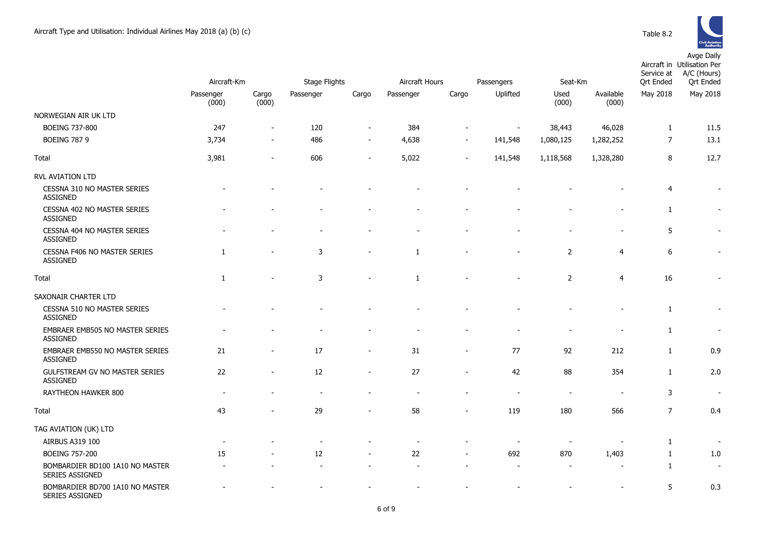

|                                                           | Aircraft-Km        |                | <b>Stage Flights</b> |                | Aircraft Hours |                          | Passengers |                          | Seat-Km            |                | Aircraft in Utilisation Per<br>A/C (Hours)<br><b>Qrt</b> Ended |  |
|-----------------------------------------------------------|--------------------|----------------|----------------------|----------------|----------------|--------------------------|------------|--------------------------|--------------------|----------------|----------------------------------------------------------------|--|
|                                                           | Passenger<br>(000) | Cargo<br>(000) | Passenger            | Cargo          | Passenger      | Cargo                    | Uplifted   | Used<br>(000)            | Available<br>(000) | May 2018       | May 2018                                                       |  |
| NORWEGIAN AIR UK LTD                                      |                    |                |                      |                |                |                          |            |                          |                    |                |                                                                |  |
| BOEING 737-800                                            | 247                | $\blacksquare$ | 120                  |                | 384            | $\overline{a}$           |            | 38,443                   | 46,028             | $\mathbf{1}$   | 11.5                                                           |  |
| <b>BOEING 787 9</b>                                       | 3,734              |                | 486                  | $\overline{a}$ | 4,638          | $\overline{\phantom{0}}$ | 141,548    | 1,080,125                | 1,282,252          | $\overline{7}$ | 13.1                                                           |  |
| Total                                                     | 3,981              | L,             | 606                  | $\overline{a}$ | 5,022          |                          | 141,548    | 1,118,568                | 1,328,280          | 8              | 12.7                                                           |  |
| <b>RVL AVIATION LTD</b>                                   |                    |                |                      |                |                |                          |            |                          |                    |                |                                                                |  |
| CESSNA 310 NO MASTER SERIES<br><b>ASSIGNED</b>            |                    |                |                      |                |                |                          |            |                          |                    | $\overline{4}$ | $\overline{\phantom{a}}$                                       |  |
| CESSNA 402 NO MASTER SERIES<br><b>ASSIGNED</b>            |                    |                |                      |                |                |                          |            |                          |                    | 1              | $\blacksquare$                                                 |  |
| CESSNA 404 NO MASTER SERIES<br><b>ASSIGNED</b>            |                    |                |                      |                |                |                          |            |                          |                    | 5              | $\overline{\phantom{a}}$                                       |  |
| CESSNA F406 NO MASTER SERIES<br><b>ASSIGNED</b>           | 1                  |                | $\mathsf 3$          |                | 1              |                          |            | $\overline{2}$           | 4                  | 6              |                                                                |  |
| Total                                                     | 1                  |                | 3                    | $\blacksquare$ | 1              |                          |            | $\overline{2}$           | $\overline{4}$     | 16             |                                                                |  |
| SAXONAIR CHARTER LTD                                      |                    |                |                      |                |                |                          |            |                          |                    |                |                                                                |  |
| CESSNA 510 NO MASTER SERIES<br><b>ASSIGNED</b>            |                    |                |                      |                |                |                          |            |                          |                    | $\mathbf{1}$   |                                                                |  |
| EMBRAER EMB505 NO MASTER SERIES<br><b>ASSIGNED</b>        |                    |                |                      |                |                |                          |            |                          |                    | $\mathbf{1}$   | $\blacksquare$                                                 |  |
| EMBRAER EMB550 NO MASTER SERIES<br><b>ASSIGNED</b>        | 21                 | L,             | 17                   | $\overline{a}$ | 31             | $\overline{a}$           | 77         | 92                       | 212                | $\mathbf{1}$   | 0.9                                                            |  |
| GULFSTREAM GV NO MASTER SERIES<br><b>ASSIGNED</b>         | 22                 | $\overline{a}$ | 12                   | $\overline{a}$ | 27             | $\overline{\phantom{a}}$ | 42         | 88                       | 354                | $\mathbf{1}$   | 2.0                                                            |  |
| RAYTHEON HAWKER 800                                       |                    |                | $\sim$               |                | ۰              |                          |            | $\overline{\phantom{a}}$ | $\blacksquare$     | 3              | $\sim$                                                         |  |
| Total                                                     | 43                 |                | 29                   |                | 58             |                          | 119        | 180                      | 566                | $\overline{7}$ | 0.4                                                            |  |
| TAG AVIATION (UK) LTD                                     |                    |                |                      |                |                |                          |            |                          |                    |                |                                                                |  |
| AIRBUS A319 100                                           |                    |                | $\blacksquare$       |                | $\blacksquare$ |                          |            | $\overline{\phantom{a}}$ |                    | $\mathbf{1}$   | $\overline{\phantom{a}}$                                       |  |
| <b>BOEING 757-200</b>                                     | 15                 |                | 12                   |                | 22             |                          | 692        | 870                      | 1,403              | 1              | 1.0                                                            |  |
| BOMBARDIER BD100 1A10 NO MASTER<br><b>SERIES ASSIGNED</b> |                    |                |                      |                |                |                          |            |                          |                    | $\mathbf{1}$   | $\sim$                                                         |  |
| BOMBARDIER BD700 1A10 NO MASTER<br>SERIES ASSIGNED        |                    |                |                      |                |                |                          |            |                          |                    | 5              | 0.3                                                            |  |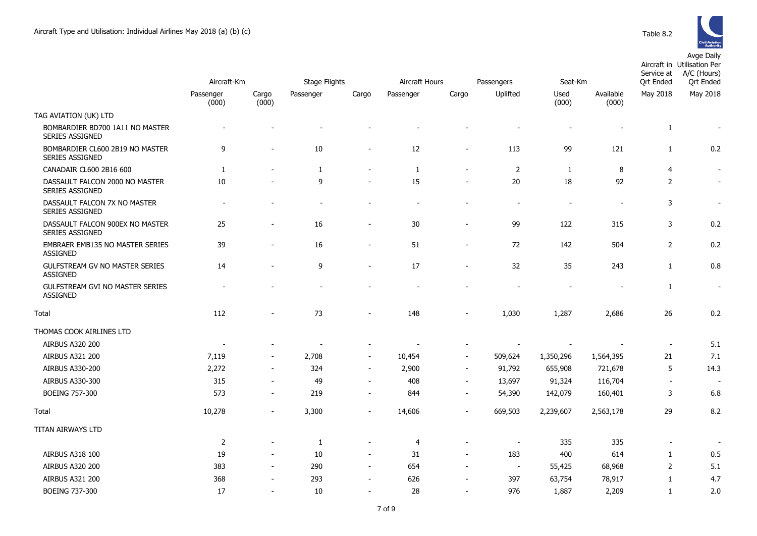

|                                                           |                          |                          |                      |                          | Aircraft Hours<br>Passengers |                          |                          |                |                    | Aircraft in Utilisation Per<br>A/C (Hours)<br>Service at<br><b>Qrt Ended</b> |                          |
|-----------------------------------------------------------|--------------------------|--------------------------|----------------------|--------------------------|------------------------------|--------------------------|--------------------------|----------------|--------------------|------------------------------------------------------------------------------|--------------------------|
|                                                           | Aircraft-Km              |                          | <b>Stage Flights</b> |                          |                              |                          |                          | Seat-Km        |                    |                                                                              | <b>Qrt Ended</b>         |
|                                                           | Passenger<br>(000)       | Cargo<br>(000)           | Passenger            | Cargo                    | Passenger                    | Cargo                    | Uplifted                 | Used<br>(000)  | Available<br>(000) | May 2018                                                                     | May 2018                 |
| TAG AVIATION (UK) LTD                                     |                          |                          |                      |                          |                              |                          |                          |                |                    |                                                                              |                          |
| BOMBARDIER BD700 1A11 NO MASTER<br><b>SERIES ASSIGNED</b> |                          |                          |                      |                          |                              |                          |                          |                |                    | $\mathbf{1}$                                                                 |                          |
| BOMBARDIER CL600 2B19 NO MASTER<br>SERIES ASSIGNED        | 9                        | $\blacksquare$           | 10                   | $\overline{a}$           | 12                           | $\blacksquare$           | 113                      | 99             | 121                | $\mathbf{1}$                                                                 | 0.2                      |
| CANADAIR CL600 2B16 600                                   | 1                        |                          | 1                    | $\overline{a}$           | $\mathbf{1}$                 | $\blacksquare$           | 2                        | $\mathbf{1}$   | 8                  | 4                                                                            | $\overline{\phantom{a}}$ |
| DASSAULT FALCON 2000 NO MASTER<br><b>SERIES ASSIGNED</b>  | 10                       |                          | 9                    |                          | 15                           |                          | 20                       | 18             | 92                 | $\overline{2}$                                                               | $\sim$                   |
| DASSAULT FALCON 7X NO MASTER<br>SERIES ASSIGNED           | $\overline{\phantom{a}}$ |                          |                      |                          |                              |                          | $\overline{\phantom{a}}$ | $\overline{a}$ |                    | 3                                                                            | $\overline{\phantom{a}}$ |
| DASSAULT FALCON 900EX NO MASTER<br><b>SERIES ASSIGNED</b> | 25                       |                          | 16                   | $\overline{a}$           | 30                           |                          | 99                       | 122            | 315                | 3                                                                            | 0.2                      |
| EMBRAER EMB135 NO MASTER SERIES<br><b>ASSIGNED</b>        | 39                       |                          | 16                   | $\overline{\phantom{m}}$ | 51                           | $\blacksquare$           | 72                       | 142            | 504                | 2                                                                            | 0.2                      |
| GULFSTREAM GV NO MASTER SERIES<br><b>ASSIGNED</b>         | 14                       |                          | 9                    | $\overline{a}$           | 17                           | $\sim$                   | 32                       | 35             | 243                | $\mathbf{1}$                                                                 | 0.8                      |
| <b>GULFSTREAM GVI NO MASTER SERIES</b><br><b>ASSIGNED</b> |                          |                          |                      |                          |                              |                          |                          |                |                    | $\mathbf{1}$                                                                 | $\overline{\phantom{a}}$ |
| Total                                                     | 112                      |                          | 73                   |                          | 148                          |                          | 1,030                    | 1,287          | 2,686              | 26                                                                           | 0.2                      |
| THOMAS COOK AIRLINES LTD                                  |                          |                          |                      |                          |                              |                          |                          |                |                    |                                                                              |                          |
| AIRBUS A320 200                                           | $\overline{\phantom{a}}$ |                          |                      | $\overline{\phantom{a}}$ |                              |                          |                          |                |                    | $\blacksquare$                                                               | 5.1                      |
| AIRBUS A321 200                                           | 7,119                    | $\blacksquare$           | 2,708                | $\blacksquare$           | 10,454                       | $\sim$                   | 509,624                  | 1,350,296      | 1,564,395          | 21                                                                           | 7.1                      |
| AIRBUS A330-200                                           | 2,272                    | $\blacksquare$           | 324                  | $\overline{\phantom{a}}$ | 2,900                        | $\overline{\phantom{a}}$ | 91,792                   | 655,908        | 721,678            | 5                                                                            | 14.3                     |
| AIRBUS A330-300                                           | 315                      | $\overline{a}$           | 49                   | $\overline{a}$           | 408                          | $\blacksquare$           | 13,697                   | 91,324         | 116,704            | $\overline{a}$                                                               |                          |
| BOEING 757-300                                            | 573                      | $\overline{\phantom{a}}$ | 219                  | $\overline{\phantom{a}}$ | 844                          | $\overline{\phantom{a}}$ | 54,390                   | 142,079        | 160,401            | 3                                                                            | 6.8                      |
| Total                                                     | 10,278                   | $\overline{\phantom{a}}$ | 3,300                | $\overline{\phantom{a}}$ | 14,606                       | $\blacksquare$           | 669,503                  | 2,239,607      | 2,563,178          | 29                                                                           | 8.2                      |
| TITAN AIRWAYS LTD                                         |                          |                          |                      |                          |                              |                          |                          |                |                    |                                                                              |                          |
|                                                           | $\overline{2}$           |                          | 1                    | $\blacksquare$           | $\overline{4}$               |                          | $\overline{a}$           | 335            | 335                | $\overline{\phantom{a}}$                                                     | $\sim$                   |
| AIRBUS A318 100                                           | 19                       | $\blacksquare$           | 10                   | $\overline{\phantom{a}}$ | 31                           | $\blacksquare$           | 183                      | 400            | 614                | $\mathbf{1}$                                                                 | 0.5                      |
| <b>AIRBUS A320 200</b>                                    | 383                      | $\blacksquare$           | 290                  | $\overline{\phantom{a}}$ | 654                          | $\blacksquare$           | $\blacksquare$           | 55,425         | 68,968             | $\overline{2}$                                                               | 5.1                      |
| <b>AIRBUS A321 200</b>                                    | 368                      |                          | 293                  |                          | 626                          |                          | 397                      | 63,754         | 78,917             | $\mathbf{1}$                                                                 | 4.7                      |
| BOEING 737-300                                            | 17                       |                          | 10                   | $\overline{a}$           | 28                           | $\blacksquare$           | 976                      | 1,887          | 2,209              | $\mathbf{1}$                                                                 | 2.0                      |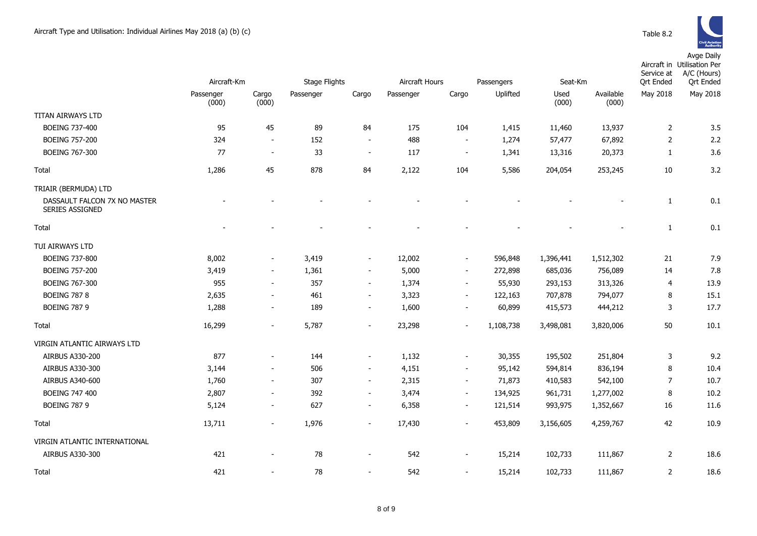Avge Daily

|                                                 | Aircraft-Km        |                          | <b>Stage Flights</b> |                          | Aircraft Hours |                          | Passengers | Seat-Km       |                    | Service at<br><b>Qrt Ended</b> | Aircraft in Utilisation Per<br>A/C (Hours)<br><b>Qrt Ended</b> |
|-------------------------------------------------|--------------------|--------------------------|----------------------|--------------------------|----------------|--------------------------|------------|---------------|--------------------|--------------------------------|----------------------------------------------------------------|
|                                                 | Passenger<br>(000) | Cargo<br>(000)           | Passenger            | Cargo                    | Passenger      | Cargo                    | Uplifted   | Used<br>(000) | Available<br>(000) | May 2018                       | May 2018                                                       |
| TITAN AIRWAYS LTD                               |                    |                          |                      |                          |                |                          |            |               |                    |                                |                                                                |
| <b>BOEING 737-400</b>                           | 95                 | 45                       | 89                   | 84                       | 175            | 104                      | 1,415      | 11,460        | 13,937             | $\overline{2}$                 | 3.5                                                            |
| <b>BOEING 757-200</b>                           | 324                | $\blacksquare$           | 152                  | $\overline{\phantom{a}}$ | 488            | $\overline{\phantom{a}}$ | 1,274      | 57,477        | 67,892             | $\overline{2}$                 | 2.2                                                            |
| <b>BOEING 767-300</b>                           | 77                 | $\overline{\phantom{a}}$ | 33                   | $\overline{\phantom{a}}$ | 117            | $\overline{\phantom{a}}$ | 1,341      | 13,316        | 20,373             | $\mathbf{1}$                   | 3.6                                                            |
| Total                                           | 1,286              | 45                       | 878                  | 84                       | 2,122          | 104                      | 5,586      | 204,054       | 253,245            | 10                             | 3.2                                                            |
| TRIAIR (BERMUDA) LTD                            |                    |                          |                      |                          |                |                          |            |               |                    |                                |                                                                |
| DASSAULT FALCON 7X NO MASTER<br>SERIES ASSIGNED |                    |                          |                      |                          |                |                          |            |               |                    | 1                              | 0.1                                                            |
| Total                                           |                    |                          |                      |                          |                |                          |            |               |                    | $\mathbf{1}$                   | 0.1                                                            |
| TUI AIRWAYS LTD                                 |                    |                          |                      |                          |                |                          |            |               |                    |                                |                                                                |
| BOEING 737-800                                  | 8,002              | $\overline{\phantom{a}}$ | 3,419                | $\overline{\phantom{a}}$ | 12,002         | $\overline{\phantom{a}}$ | 596,848    | 1,396,441     | 1,512,302          | 21                             | 7.9                                                            |
| <b>BOEING 757-200</b>                           | 3,419              | $\overline{\phantom{a}}$ | 1,361                | $\blacksquare$           | 5,000          | $\overline{\phantom{a}}$ | 272,898    | 685,036       | 756,089            | 14                             | 7.8                                                            |
| <b>BOEING 767-300</b>                           | 955                | $\overline{\phantom{a}}$ | 357                  | $\overline{\phantom{a}}$ | 1,374          | $\overline{\phantom{a}}$ | 55,930     | 293,153       | 313,326            | 4                              | 13.9                                                           |
| <b>BOEING 787 8</b>                             | 2,635              | $\overline{\phantom{a}}$ | 461                  | $\blacksquare$           | 3,323          | $\overline{\phantom{a}}$ | 122,163    | 707,878       | 794,077            | 8                              | 15.1                                                           |
| <b>BOEING 787 9</b>                             | 1,288              | $\overline{\phantom{a}}$ | 189                  | $\overline{\phantom{a}}$ | 1,600          | $\overline{\phantom{a}}$ | 60,899     | 415,573       | 444,212            | 3                              | 17.7                                                           |
| Total                                           | 16,299             | $\overline{\phantom{a}}$ | 5,787                | $\overline{\phantom{a}}$ | 23,298         | $\overline{\phantom{a}}$ | 1,108,738  | 3,498,081     | 3,820,006          | 50                             | 10.1                                                           |
| VIRGIN ATLANTIC AIRWAYS LTD                     |                    |                          |                      |                          |                |                          |            |               |                    |                                |                                                                |
| AIRBUS A330-200                                 | 877                | $\blacksquare$           | 144                  | $\blacksquare$           | 1,132          | $\overline{\phantom{a}}$ | 30,355     | 195,502       | 251,804            | 3                              | 9.2                                                            |
| AIRBUS A330-300                                 | 3,144              | $\blacksquare$           | 506                  | $\sim$                   | 4,151          | $\sim$                   | 95,142     | 594,814       | 836,194            | 8                              | 10.4                                                           |
| AIRBUS A340-600                                 | 1,760              | $\blacksquare$           | 307                  | $\overline{\phantom{a}}$ | 2,315          | $\overline{\phantom{a}}$ | 71,873     | 410,583       | 542,100            | 7                              | 10.7                                                           |
| <b>BOEING 747 400</b>                           | 2,807              | $\blacksquare$           | 392                  | $\blacksquare$           | 3,474          | $\blacksquare$           | 134,925    | 961,731       | 1,277,002          | 8                              | 10.2                                                           |
| <b>BOEING 787 9</b>                             | 5,124              | $\overline{\phantom{a}}$ | 627                  | $\overline{\phantom{a}}$ | 6,358          | $\overline{\phantom{a}}$ | 121,514    | 993,975       | 1,352,667          | 16                             | 11.6                                                           |
| Total                                           | 13,711             | $\overline{\phantom{a}}$ | 1,976                | $\overline{\phantom{a}}$ | 17,430         | $\blacksquare$           | 453,809    | 3,156,605     | 4,259,767          | 42                             | 10.9                                                           |
| VIRGIN ATLANTIC INTERNATIONAL                   |                    |                          |                      |                          |                |                          |            |               |                    |                                |                                                                |
| AIRBUS A330-300                                 | 421                |                          | 78                   | $\overline{\phantom{a}}$ | 542            | $\overline{\phantom{a}}$ | 15,214     | 102,733       | 111,867            | 2                              | 18.6                                                           |
| Total                                           | 421                |                          | 78                   | $\overline{\phantom{a}}$ | 542            | $\overline{\phantom{a}}$ | 15,214     | 102,733       | 111,867            | 2                              | 18.6                                                           |